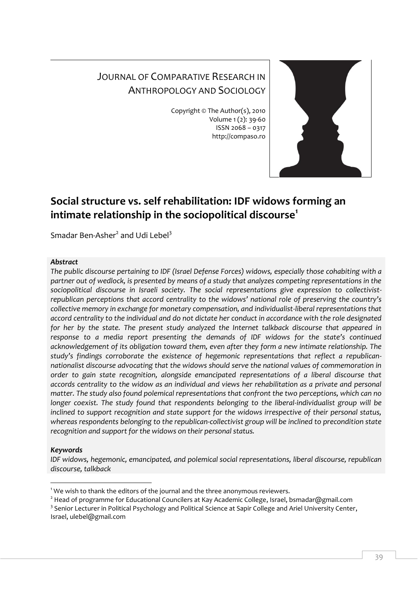# JOURNAL OF COMPARATIVE RESEARCH IN ANTHROPOLOGY AND SOCIOLOGY

Copyright © The Author(s), 2010 Volume 1 (2): 39-60 ISSN 2068 – 0317 http://compaso.ro



# **Social structure vs. self rehabilitation: IDF widows forming an intimate relationship in the sociopolitical discourse<sup>1</sup>**

Smadar Ben-Asher<sup>2</sup> and Udi Lebel<sup>3</sup>

#### *Abstract*

*The public discourse pertaining to IDF (Israel Defense Forces) widows, especially those cohabiting with a partner out of wedlock, is presented by means of a study that analyzes competing representations in the sociopolitical discourse in Israeli society. The social representations give expression to collectivistrepublican perceptions that accord centrality to the widows' national role of preserving the country's collective memory in exchange for monetary compensation, and individualist-liberal representations that accord centrality to the individual and do not dictate her conduct in accordance with the role designated for her by the state. The present study analyzed the Internet talkback discourse that appeared in response to a media report presenting the demands of IDF widows for the state's continued acknowledgement of its obligation toward them, even after they form a new intimate relationship. The study's findings corroborate the existence of hegemonic representations that reflect a republicannationalist discourse advocating that the widows should serve the national values of commemoration in order to gain state recognition, alongside emancipated representations of a liberal discourse that accords centrality to the widow as an individual and views her rehabilitation as a private and personal matter. The study also found polemical representations that confront the two perceptions, which can no longer coexist. The study found that respondents belonging to the liberal-individualist group will be inclined to support recognition and state support for the widows irrespective of their personal status, whereas respondents belonging to the republican-collectivist group will be inclined to precondition state recognition and support for the widows on their personal status.*

## *Keywords*

-

*IDF widows, hegemonic, emancipated, and polemical social representations, liberal discourse, republican discourse, talkback*

 $1$  We wish to thank the editors of the journal and the three anonymous reviewers.

<sup>&</sup>lt;sup>2</sup> Head of programme for Educational Councilers at Kay Academic College, Israel, bsmadar@gmail.com

<sup>&</sup>lt;sup>3</sup> Senior Lecturer in Political Psychology and Political Science at Sapir College and Ariel University Center,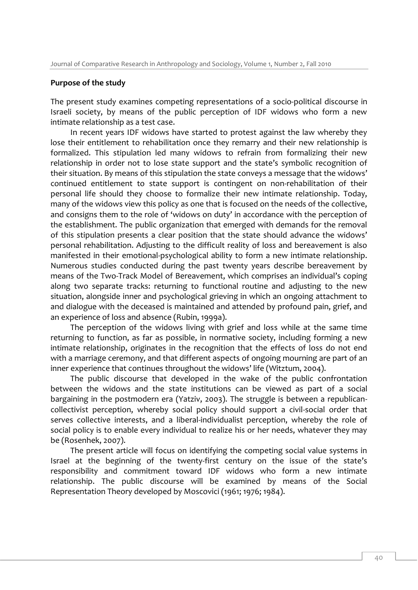## **Purpose of the study**

The present study examines competing representations of a socio-political discourse in Israeli society, by means of the public perception of IDF widows who form a new intimate relationship as a test case.

In recent years IDF widows have started to protest against the law whereby they lose their entitlement to rehabilitation once they remarry and their new relationship is formalized. This stipulation led many widows to refrain from formalizing their new relationship in order not to lose state support and the state's symbolic recognition of their situation. By means of this stipulation the state conveys a message that the widows' continued entitlement to state support is contingent on non-rehabilitation of their personal life should they choose to formalize their new intimate relationship. Today, many of the widows view this policy as one that is focused on the needs of the collective, and consigns them to the role of 'widows on duty' in accordance with the perception of the establishment. The public organization that emerged with demands for the removal of this stipulation presents a clear position that the state should advance the widows' personal rehabilitation. Adjusting to the difficult reality of loss and bereavement is also manifested in their emotional-psychological ability to form a new intimate relationship. Numerous studies conducted during the past twenty years describe bereavement by means of the Two-Track Model of Bereavement, which comprises an individual's coping along two separate tracks: returning to functional routine and adjusting to the new situation, alongside inner and psychological grieving in which an ongoing attachment to and dialogue with the deceased is maintained and attended by profound pain, grief, and an experience of loss and absence (Rubin, 1999a).

The perception of the widows living with grief and loss while at the same time returning to function, as far as possible, in normative society, including forming a new intimate relationship, originates in the recognition that the effects of loss do not end with a marriage ceremony, and that different aspects of ongoing mourning are part of an inner experience that continues throughout the widows' life (Witztum, 2004).

The public discourse that developed in the wake of the public confrontation between the widows and the state institutions can be viewed as part of a social bargaining in the postmodern era (Yatziv, 2003). The struggle is between a republicancollectivist perception, whereby social policy should support a civil-social order that serves collective interests, and a liberal-individualist perception, whereby the role of social policy is to enable every individual to realize his or her needs, whatever they may be (Rosenhek, 2007).

The present article will focus on identifying the competing social value systems in Israel at the beginning of the twenty-first century on the issue of the state's responsibility and commitment toward IDF widows who form a new intimate relationship. The public discourse will be examined by means of the Social Representation Theory developed by Moscovici (1961; 1976; 1984).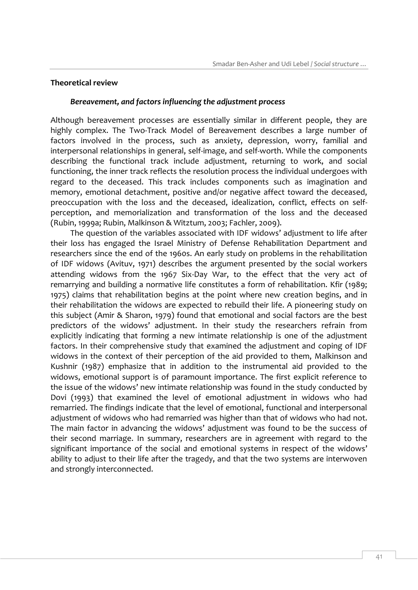#### **Theoretical review**

#### *Bereavement, and factors influencing the adjustment process*

Although bereavement processes are essentially similar in different people, they are highly complex. The Two-Track Model of Bereavement describes a large number of factors involved in the process, such as anxiety, depression, worry, familial and interpersonal relationships in general, self-image, and self-worth. While the components describing the functional track include adjustment, returning to work, and social functioning, the inner track reflects the resolution process the individual undergoes with regard to the deceased. This track includes components such as imagination and memory, emotional detachment, positive and/or negative affect toward the deceased, preoccupation with the loss and the deceased, idealization, conflict, effects on selfperception, and memorialization and transformation of the loss and the deceased (Rubin, 1999a; Rubin, Malkinson & Witztum, 2003; Fachler, 2009).

The question of the variables associated with IDF widows' adjustment to life after their loss has engaged the Israel Ministry of Defense Rehabilitation Department and researchers since the end of the 1960s. An early study on problems in the rehabilitation of IDF widows (Avituv, 1971) describes the argument presented by the social workers attending widows from the 1967 Six-Day War, to the effect that the very act of remarrying and building a normative life constitutes a form of rehabilitation. Kfir (1989; 1975) claims that rehabilitation begins at the point where new creation begins, and in their rehabilitation the widows are expected to rebuild their life. A pioneering study on this subject (Amir & Sharon, 1979) found that emotional and social factors are the best predictors of the widows' adjustment. In their study the researchers refrain from explicitly indicating that forming a new intimate relationship is one of the adjustment factors. In their comprehensive study that examined the adjustment and coping of IDF widows in the context of their perception of the aid provided to them, Malkinson and Kushnir (1987) emphasize that in addition to the instrumental aid provided to the widows, emotional support is of paramount importance. The first explicit reference to the issue of the widows' new intimate relationship was found in the study conducted by Dovi (1993) that examined the level of emotional adjustment in widows who had remarried. The findings indicate that the level of emotional, functional and interpersonal adjustment of widows who had remarried was higher than that of widows who had not. The main factor in advancing the widows' adjustment was found to be the success of their second marriage. In summary, researchers are in agreement with regard to the significant importance of the social and emotional systems in respect of the widows' ability to adjust to their life after the tragedy, and that the two systems are interwoven and strongly interconnected.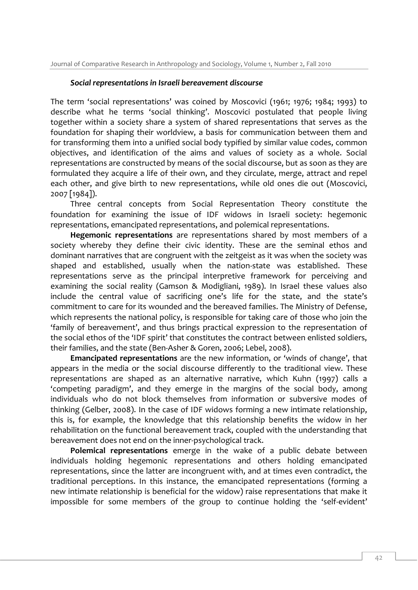#### *Social representations in Israeli bereavement discourse*

The term 'social representations' was coined by Moscovici (1961; 1976; 1984; 1993) to describe what he terms 'social thinking'. Moscovici postulated that people living together within a society share a system of shared representations that serves as the foundation for shaping their worldview, a basis for communication between them and for transforming them into a unified social body typified by similar value codes, common objectives, and identification of the aims and values of society as a whole. Social representations are constructed by means of the social discourse, but as soon as they are formulated they acquire a life of their own, and they circulate, merge, attract and repel each other, and give birth to new representations, while old ones die out (Moscovici, 2007 [1984]).

Three central concepts from Social Representation Theory constitute the foundation for examining the issue of IDF widows in Israeli society: hegemonic representations, emancipated representations, and polemical representations.

**Hegemonic representations** are representations shared by most members of a society whereby they define their civic identity. These are the seminal ethos and dominant narratives that are congruent with the zeitgeist as it was when the society was shaped and established, usually when the nation-state was established. These representations serve as the principal interpretive framework for perceiving and examining the social reality (Gamson & Modigliani, 1989). In Israel these values also include the central value of sacrificing one's life for the state, and the state's commitment to care for its wounded and the bereaved families. The Ministry of Defense, which represents the national policy, is responsible for taking care of those who join the 'family of bereavement', and thus brings practical expression to the representation of the social ethos of the 'IDF spirit' that constitutes the contract between enlisted soldiers, their families, and the state (Ben-Asher & Goren, 2006; Lebel, 2008).

**Emancipated representations** are the new information, or 'winds of change', that appears in the media or the social discourse differently to the traditional view. These representations are shaped as an alternative narrative, which Kuhn (1997) calls a 'competing paradigm', and they emerge in the margins of the social body, among individuals who do not block themselves from information or subversive modes of thinking (Gelber, 2008). In the case of IDF widows forming a new intimate relationship, this is, for example, the knowledge that this relationship benefits the widow in her rehabilitation on the functional bereavement track, coupled with the understanding that bereavement does not end on the inner-psychological track.

**Polemical representations** emerge in the wake of a public debate between individuals holding hegemonic representations and others holding emancipated representations, since the latter are incongruent with, and at times even contradict, the traditional perceptions. In this instance, the emancipated representations (forming a new intimate relationship is beneficial for the widow) raise representations that make it impossible for some members of the group to continue holding the 'self-evident'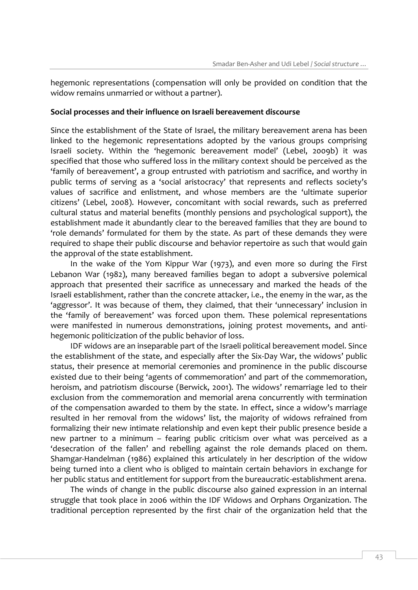hegemonic representations (compensation will only be provided on condition that the widow remains unmarried or without a partner).

#### **Social processes and their influence on Israeli bereavement discourse**

Since the establishment of the State of Israel, the military bereavement arena has been linked to the hegemonic representations adopted by the various groups comprising Israeli society. Within the 'hegemonic bereavement model' (Lebel, 2009b) it was specified that those who suffered loss in the military context should be perceived as the 'family of bereavement', a group entrusted with patriotism and sacrifice, and worthy in public terms of serving as a 'social aristocracy' that represents and reflects society's values of sacrifice and enlistment, and whose members are the 'ultimate superior citizens' (Lebel, 2008). However, concomitant with social rewards, such as preferred cultural status and material benefits (monthly pensions and psychological support), the establishment made it abundantly clear to the bereaved families that they are bound to 'role demands' formulated for them by the state. As part of these demands they were required to shape their public discourse and behavior repertoire as such that would gain the approval of the state establishment.

In the wake of the Yom Kippur War (1973), and even more so during the First Lebanon War (1982), many bereaved families began to adopt a subversive polemical approach that presented their sacrifice as unnecessary and marked the heads of the Israeli establishment, rather than the concrete attacker, i.e., the enemy in the war, as the 'aggressor'. It was because of them, they claimed, that their 'unnecessary' inclusion in the 'family of bereavement' was forced upon them. These polemical representations were manifested in numerous demonstrations, joining protest movements, and antihegemonic politicization of the public behavior of loss.

IDF widows are an inseparable part of the Israeli political bereavement model. Since the establishment of the state, and especially after the Six-Day War, the widows' public status, their presence at memorial ceremonies and prominence in the public discourse existed due to their being 'agents of commemoration' and part of the commemoration, heroism, and patriotism discourse (Berwick, 2001). The widows' remarriage led to their exclusion from the commemoration and memorial arena concurrently with termination of the compensation awarded to them by the state. In effect, since a widow's marriage resulted in her removal from the widows' list, the majority of widows refrained from formalizing their new intimate relationship and even kept their public presence beside a new partner to a minimum – fearing public criticism over what was perceived as a 'desecration of the fallen' and rebelling against the role demands placed on them. Shamgar-Handelman (1986) explained this articulately in her description of the widow being turned into a client who is obliged to maintain certain behaviors in exchange for her public status and entitlement for support from the bureaucratic-establishment arena.

The winds of change in the public discourse also gained expression in an internal struggle that took place in 2006 within the IDF Widows and Orphans Organization. The traditional perception represented by the first chair of the organization held that the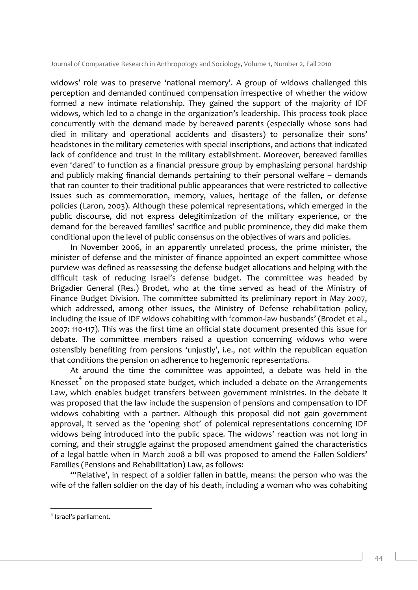widows' role was to preserve 'national memory'. A group of widows challenged this perception and demanded continued compensation irrespective of whether the widow formed a new intimate relationship. They gained the support of the majority of IDF widows, which led to a change in the organization's leadership. This process took place concurrently with the demand made by bereaved parents (especially whose sons had died in military and operational accidents and disasters) to personalize their sons' headstones in the military cemeteries with special inscriptions, and actions that indicated lack of confidence and trust in the military establishment. Moreover, bereaved families even 'dared' to function as a financial pressure group by emphasizing personal hardship and publicly making financial demands pertaining to their personal welfare – demands that ran counter to their traditional public appearances that were restricted to collective issues such as commemoration, memory, values, heritage of the fallen, or defense policies (Laron, 2003). Although these polemical representations, which emerged in the public discourse, did not express delegitimization of the military experience, or the demand for the bereaved families' sacrifice and public prominence, they did make them conditional upon the level of public consensus on the objectives of wars and policies.

In November 2006, in an apparently unrelated process, the prime minister, the minister of defense and the minister of finance appointed an expert committee whose purview was defined as reassessing the defense budget allocations and helping with the difficult task of reducing Israel's defense budget. The committee was headed by Brigadier General (Res.) Brodet, who at the time served as head of the Ministry of Finance Budget Division. The committee submitted its preliminary report in May 2007, which addressed, among other issues, the Ministry of Defense rehabilitation policy, including the issue of IDF widows cohabiting with 'common-law husbands' (Brodet et al., 2007: 110-117). This was the first time an official state document presented this issue for debate. The committee members raised a question concerning widows who were ostensibly benefiting from pensions 'unjustly', i.e., not within the republican equation that conditions the pension on adherence to hegemonic representations.

At around the time the committee was appointed, a debate was held in the Knesset $4$  on the proposed state budget, which included a debate on the Arrangements Law, which enables budget transfers between government ministries. In the debate it was proposed that the law include the suspension of pensions and compensation to IDF widows cohabiting with a partner. Although this proposal did not gain government approval, it served as the 'opening shot' of polemical representations concerning IDF widows being introduced into the public space. The widows' reaction was not long in coming, and their struggle against the proposed amendment gained the characteristics of a legal battle when in March 2008 a bill was proposed to amend the Fallen Soldiers' Families (Pensions and Rehabilitation) Law, as follows:

"'Relative', in respect of a soldier fallen in battle, means: the person who was the wife of the fallen soldier on the day of his death, including a woman who was cohabiting

-

<sup>4</sup> Israel's parliament.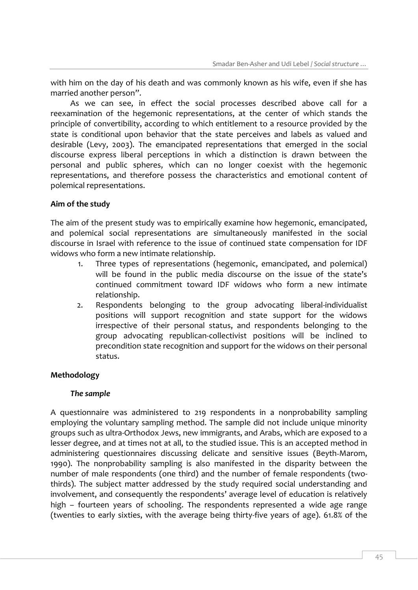with him on the day of his death and was commonly known as his wife, even if she has married another person".

As we can see, in effect the social processes described above call for a reexamination of the hegemonic representations, at the center of which stands the principle of convertibility, according to which entitlement to a resource provided by the state is conditional upon behavior that the state perceives and labels as valued and desirable (Levy, 2003). The emancipated representations that emerged in the social discourse express liberal perceptions in which a distinction is drawn between the personal and public spheres, which can no longer coexist with the hegemonic representations, and therefore possess the characteristics and emotional content of polemical representations.

## **Aim of the study**

The aim of the present study was to empirically examine how hegemonic, emancipated, and polemical social representations are simultaneously manifested in the social discourse in Israel with reference to the issue of continued state compensation for IDF widows who form a new intimate relationship.

- 1. Three types of representations (hegemonic, emancipated, and polemical) will be found in the public media discourse on the issue of the state's continued commitment toward IDF widows who form a new intimate relationship.
- 2. Respondents belonging to the group advocating liberal-individualist positions will support recognition and state support for the widows irrespective of their personal status, and respondents belonging to the group advocating republican-collectivist positions will be inclined to precondition state recognition and support for the widows on their personal status.

# **Methodology**

## *The sample*

A questionnaire was administered to 219 respondents in a nonprobability sampling employing the voluntary sampling method. The sample did not include unique minority groups such as ultra-Orthodox Jews, new immigrants, and Arabs, which are exposed to a lesser degree, and at times not at all, to the studied issue. This is an accepted method in administering questionnaires discussing delicate and sensitive issues (Beyth-Marom, 1990). The nonprobability sampling is also manifested in the disparity between the number of male respondents (one third) and the number of female respondents (twothirds). The subject matter addressed by the study required social understanding and involvement, and consequently the respondents' average level of education is relatively high – fourteen years of schooling. The respondents represented a wide age range (twenties to early sixties, with the average being thirty-five years of age). 61.8% of the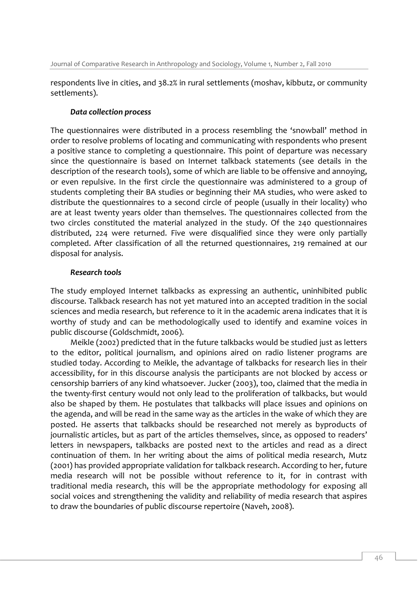respondents live in cities, and 38.2% in rural settlements (moshav, kibbutz, or community settlements).

## *Data collection process*

The questionnaires were distributed in a process resembling the 'snowball' method in order to resolve problems of locating and communicating with respondents who present a positive stance to completing a questionnaire. This point of departure was necessary since the questionnaire is based on Internet talkback statements (see details in the description of the research tools), some of which are liable to be offensive and annoying, or even repulsive. In the first circle the questionnaire was administered to a group of students completing their BA studies or beginning their MA studies, who were asked to distribute the questionnaires to a second circle of people (usually in their locality) who are at least twenty years older than themselves. The questionnaires collected from the two circles constituted the material analyzed in the study. Of the 240 questionnaires distributed, 224 were returned. Five were disqualified since they were only partially completed. After classification of all the returned questionnaires, 219 remained at our disposal for analysis.

## *Research tools*

The study employed Internet talkbacks as expressing an authentic, uninhibited public discourse. Talkback research has not yet matured into an accepted tradition in the social sciences and media research, but reference to it in the academic arena indicates that it is worthy of study and can be methodologically used to identify and examine voices in public discourse (Goldschmidt, 2006).

Meikle (2002) predicted that in the future talkbacks would be studied just as letters to the editor, political journalism, and opinions aired on radio listener programs are studied today. According to Meikle, the advantage of talkbacks for research lies in their accessibility, for in this discourse analysis the participants are not blocked by access or censorship barriers of any kind whatsoever. Jucker (2003), too, claimed that the media in the twenty-first century would not only lead to the proliferation of talkbacks, but would also be shaped by them. He postulates that talkbacks will place issues and opinions on the agenda, and will be read in the same way as the articles in the wake of which they are posted. He asserts that talkbacks should be researched not merely as byproducts of journalistic articles, but as part of the articles themselves, since, as opposed to readers' letters in newspapers, talkbacks are posted next to the articles and read as a direct continuation of them. In her writing about the aims of political media research, Mutz (2001) has provided appropriate validation for talkback research. According to her, future media research will not be possible without reference to it, for in contrast with traditional media research, this will be the appropriate methodology for exposing all social voices and strengthening the validity and reliability of media research that aspires to draw the boundaries of public discourse repertoire (Naveh, 2008).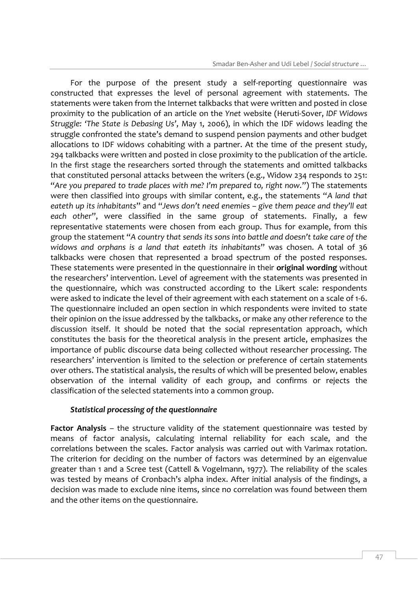For the purpose of the present study a self-reporting questionnaire was constructed that expresses the level of personal agreement with statements. The statements were taken from the Internet talkbacks that were written and posted in close proximity to the publication of an article on the *Ynet* website (Heruti-Sover, *IDF Widows Struggle: 'The State is Debasing Us'*, May 1, 2006), in which the IDF widows leading the struggle confronted the state's demand to suspend pension payments and other budget allocations to IDF widows cohabiting with a partner. At the time of the present study, 294 talkbacks were written and posted in close proximity to the publication of the article. In the first stage the researchers sorted through the statements and omitted talkbacks that constituted personal attacks between the writers (e.g., Widow 234 responds to 251: "*Are you prepared to trade places with me? I'm prepared to, right now.*") The statements were then classified into groups with similar content, e.g., the statements "*A land that eateth up its inhabitants*" and "*Jews don't need enemies – give them peace and they'll eat each other*", were classified in the same group of statements. Finally, a few representative statements were chosen from each group. Thus for example, from this group the statement "*A country that sends its sons into battle and doesn't take care of the widows and orphans is a land that eateth its inhabitants*" was chosen. A total of 36 talkbacks were chosen that represented a broad spectrum of the posted responses. These statements were presented in the questionnaire in their **original wording** without the researchers' intervention. Level of agreement with the statements was presented in the questionnaire, which was constructed according to the Likert scale: respondents were asked to indicate the level of their agreement with each statement on a scale of 1-6. The questionnaire included an open section in which respondents were invited to state their opinion on the issue addressed by the talkbacks, or make any other reference to the discussion itself. It should be noted that the social representation approach, which constitutes the basis for the theoretical analysis in the present article, emphasizes the importance of public discourse data being collected without researcher processing. The researchers' intervention is limited to the selection or preference of certain statements over others. The statistical analysis, the results of which will be presented below, enables observation of the internal validity of each group, and confirms or rejects the classification of the selected statements into a common group.

## *Statistical processing of the questionnaire*

**Factor Analysis** – the structure validity of the statement questionnaire was tested by means of factor analysis, calculating internal reliability for each scale, and the correlations between the scales. Factor analysis was carried out with Varimax rotation. The criterion for deciding on the number of factors was determined by an eigenvalue greater than 1 and a Scree test (Cattell & Vogelmann, 1977). The reliability of the scales was tested by means of Cronbach's alpha index. After initial analysis of the findings, a decision was made to exclude nine items, since no correlation was found between them and the other items on the questionnaire.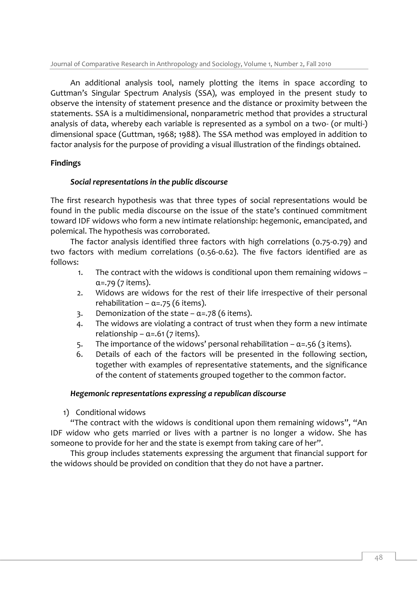An additional analysis tool, namely plotting the items in space according to Guttman's Singular Spectrum Analysis (SSA), was employed in the present study to observe the intensity of statement presence and the distance or proximity between the statements. SSA is a multidimensional, nonparametric method that provides a structural analysis of data, whereby each variable is represented as a symbol on a two- (or multi-) dimensional space (Guttman, 1968; 1988). The SSA method was employed in addition to factor analysis for the purpose of providing a visual illustration of the findings obtained.

# **Findings**

## *Social representations in the public discourse*

The first research hypothesis was that three types of social representations would be found in the public media discourse on the issue of the state's continued commitment toward IDF widows who form a new intimate relationship: hegemonic, emancipated, and polemical. The hypothesis was corroborated.

The factor analysis identified three factors with high correlations (0.75-0.79) and two factors with medium correlations (0.56-0.62). The five factors identified are as follows:

- 1. The contract with the widows is conditional upon them remaining widows  $\alpha$ =.79 (7 items).
- 2. Widows are widows for the rest of their life irrespective of their personal rehabilitation –  $\alpha = .75$  (6 items).
- 3. Demonization of the state  $\alpha = .78$  (6 items).
- 4. The widows are violating a contract of trust when they form a new intimate relationship –  $\alpha$ =.61 (7 items).
- 5. The importance of the widows' personal rehabilitation  $\alpha$ =.56 (3 items).
- 6. Details of each of the factors will be presented in the following section, together with examples of representative statements, and the significance of the content of statements grouped together to the common factor.

## *Hegemonic representations expressing a republican discourse*

1) Conditional widows

"The contract with the widows is conditional upon them remaining widows", "An IDF widow who gets married or lives with a partner is no longer a widow. She has someone to provide for her and the state is exempt from taking care of her".

This group includes statements expressing the argument that financial support for the widows should be provided on condition that they do not have a partner.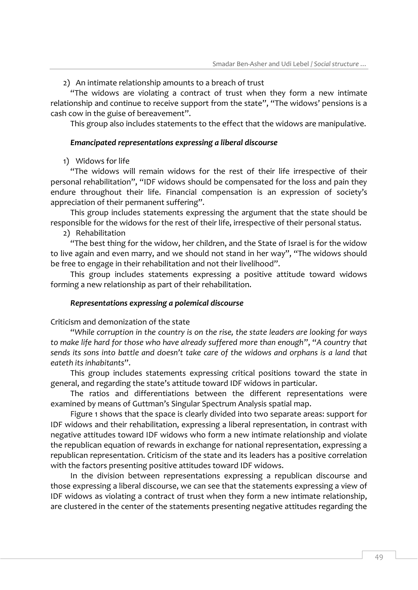## 2) An intimate relationship amounts to a breach of trust

"The widows are violating a contract of trust when they form a new intimate relationship and continue to receive support from the state", "The widows' pensions is a cash cow in the guise of bereavement".

This group also includes statements to the effect that the widows are manipulative.

## *Emancipated representations expressing a liberal discourse*

1) Widows for life

"The widows will remain widows for the rest of their life irrespective of their personal rehabilitation", "IDF widows should be compensated for the loss and pain they endure throughout their life. Financial compensation is an expression of society's appreciation of their permanent suffering".

This group includes statements expressing the argument that the state should be responsible for the widows for the rest of their life, irrespective of their personal status.

# 2) Rehabilitation

"The best thing for the widow, her children, and the State of Israel is for the widow to live again and even marry, and we should not stand in her way", "The widows should be free to engage in their rehabilitation and not their livelihood".

This group includes statements expressing a positive attitude toward widows forming a new relationship as part of their rehabilitation.

## *Representations expressing a polemical discourse*

Criticism and demonization of the state

"*While corruption in the country is on the rise, the state leaders are looking for ways to make life hard for those who have already suffered more than enough*", "*A country that sends its sons into battle and doesn't take care of the widows and orphans is a land that eateth its inhabitants*".

This group includes statements expressing critical positions toward the state in general, and regarding the state's attitude toward IDF widows in particular.

The ratios and differentiations between the different representations were examined by means of Guttman's Singular Spectrum Analysis spatial map.

Figure 1 shows that the space is clearly divided into two separate areas: support for IDF widows and their rehabilitation, expressing a liberal representation, in contrast with negative attitudes toward IDF widows who form a new intimate relationship and violate the republican equation of rewards in exchange for national representation, expressing a republican representation. Criticism of the state and its leaders has a positive correlation with the factors presenting positive attitudes toward IDF widows.

In the division between representations expressing a republican discourse and those expressing a liberal discourse, we can see that the statements expressing a view of IDF widows as violating a contract of trust when they form a new intimate relationship, are clustered in the center of the statements presenting negative attitudes regarding the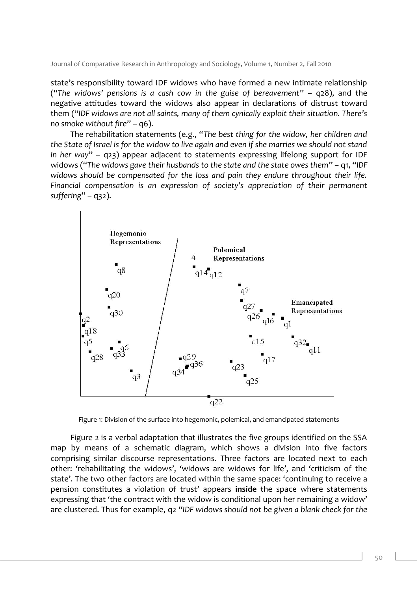state's responsibility toward IDF widows who have formed a new intimate relationship ("*The widows' pensions is a cash cow in the guise of bereavement*" – q28), and the negative attitudes toward the widows also appear in declarations of distrust toward them ("*IDF widows are not all saints, many of them cynically exploit their situation. There's no smoke without fire*" – q6).

The rehabilitation statements (e.g., "*The best thing for the widow, her children and the State of Israel is for the widow to live again and even if she marries we should not stand in her way*" – q23) appear adjacent to statements expressing lifelong support for IDF widows ("*The widows gave their husbands to the state and the state owes them*" – q1, "*IDF widows should be compensated for the loss and pain they endure throughout their life. Financial compensation is an expression of society's appreciation of their permanent suffering*" – q32).



Figure 1: Division of the surface into hegemonic, polemical, and emancipated statements

Figure 2 is a verbal adaptation that illustrates the five groups identified on the SSA map by means of a schematic diagram, which shows a division into five factors comprising similar discourse representations. Three factors are located next to each other: 'rehabilitating the widows', 'widows are widows for life', and 'criticism of the state'. The two other factors are located within the same space: 'continuing to receive a pension constitutes a violation of trust' appears **inside** the space where statements expressing that 'the contract with the widow is conditional upon her remaining a widow' are clustered. Thus for example, q2 "*IDF widows should not be given a blank check for the*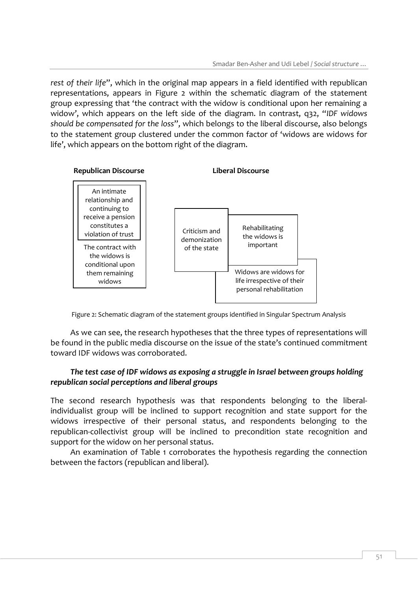*rest of their life*", which in the original map appears in a field identified with republican representations, appears in Figure 2 within the schematic diagram of the statement group expressing that 'the contract with the widow is conditional upon her remaining a widow', which appears on the left side of the diagram. In contrast, q32, "*IDF widows should be compensated for the loss*", which belongs to the liberal discourse, also belongs to the statement group clustered under the common factor of 'widows are widows for life', which appears on the bottom right of the diagram.



Figure 2: Schematic diagram of the statement groups identified in Singular Spectrum Analysis

As we can see, the research hypotheses that the three types of representations will be found in the public media discourse on the issue of the state's continued commitment toward IDF widows was corroborated.

# *The test case of IDF widows as exposing a struggle in Israel between groups holding republican social perceptions and liberal groups*

The second research hypothesis was that respondents belonging to the liberalindividualist group will be inclined to support recognition and state support for the widows irrespective of their personal status, and respondents belonging to the republican-collectivist group will be inclined to precondition state recognition and support for the widow on her personal status.

An examination of Table 1 corroborates the hypothesis regarding the connection between the factors (republican and liberal).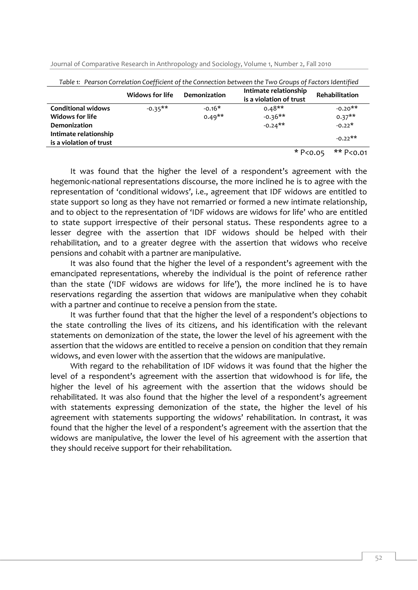| Table 1: Pearson Correlation Coefficient of the Connection between the Two Groups of Factors Identified |                 |                     |                                                  |                       |
|---------------------------------------------------------------------------------------------------------|-----------------|---------------------|--------------------------------------------------|-----------------------|
|                                                                                                         | Widows for life | <b>Demonization</b> | Intimate relationship<br>is a violation of trust | <b>Rehabilitation</b> |
| <b>Conditional widows</b>                                                                               | $-0.35**$       | $-0.16*$            | $0.48**$                                         | $-0.20**$             |
| Widows for life                                                                                         |                 | $0.49**$            | $-0.36**$                                        | $0.37**$              |
| <b>Demonization</b>                                                                                     |                 |                     | $-0.24$ **                                       | $-0.22*$              |
| Intimate relationship                                                                                   |                 |                     |                                                  | $-0.22**$             |
| is a violation of trust                                                                                 |                 |                     |                                                  |                       |
|                                                                                                         |                 |                     | * $P < 0.05$                                     | ** P<0.01             |

Journal of Comparative Research in Anthropology and Sociology, Volume 1, Number 2, Fall 2010

It was found that the higher the level of a respondent's agreement with the hegemonic-national representations discourse, the more inclined he is to agree with the representation of 'conditional widows', i.e., agreement that IDF widows are entitled to state support so long as they have not remarried or formed a new intimate relationship, and to object to the representation of 'IDF widows are widows for life' who are entitled to state support irrespective of their personal status. These respondents agree to a lesser degree with the assertion that IDF widows should be helped with their rehabilitation, and to a greater degree with the assertion that widows who receive pensions and cohabit with a partner are manipulative.

It was also found that the higher the level of a respondent's agreement with the emancipated representations, whereby the individual is the point of reference rather than the state ('IDF widows are widows for life'), the more inclined he is to have reservations regarding the assertion that widows are manipulative when they cohabit with a partner and continue to receive a pension from the state.

It was further found that that the higher the level of a respondent's objections to the state controlling the lives of its citizens, and his identification with the relevant statements on demonization of the state, the lower the level of his agreement with the assertion that the widows are entitled to receive a pension on condition that they remain widows, and even lower with the assertion that the widows are manipulative.

With regard to the rehabilitation of IDF widows it was found that the higher the level of a respondent's agreement with the assertion that widowhood is for life, the higher the level of his agreement with the assertion that the widows should be rehabilitated. It was also found that the higher the level of a respondent's agreement with statements expressing demonization of the state, the higher the level of his agreement with statements supporting the widows' rehabilitation. In contrast, it was found that the higher the level of a respondent's agreement with the assertion that the widows are manipulative, the lower the level of his agreement with the assertion that they should receive support for their rehabilitation.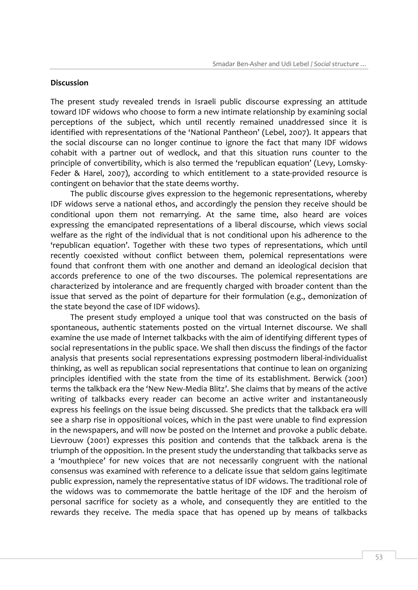#### **Discussion**

The present study revealed trends in Israeli public discourse expressing an attitude toward IDF widows who choose to form a new intimate relationship by examining social perceptions of the subject, which until recently remained unaddressed since it is identified with representations of the 'National Pantheon' (Lebel, 2007). It appears that the social discourse can no longer continue to ignore the fact that many IDF widows cohabit with a partner out of wedlock, and that this situation runs counter to the principle of convertibility, which is also termed the 'republican equation' (Levy, Lomsky-Feder & Harel, 2007), according to which entitlement to a state-provided resource is contingent on behavior that the state deems worthy.

The public discourse gives expression to the hegemonic representations, whereby IDF widows serve a national ethos, and accordingly the pension they receive should be conditional upon them not remarrying. At the same time, also heard are voices expressing the emancipated representations of a liberal discourse, which views social welfare as the right of the individual that is not conditional upon his adherence to the 'republican equation'. Together with these two types of representations, which until recently coexisted without conflict between them, polemical representations were found that confront them with one another and demand an ideological decision that accords preference to one of the two discourses. The polemical representations are characterized by intolerance and are frequently charged with broader content than the issue that served as the point of departure for their formulation (e.g., demonization of the state beyond the case of IDF widows).

The present study employed a unique tool that was constructed on the basis of spontaneous, authentic statements posted on the virtual Internet discourse. We shall examine the use made of Internet talkbacks with the aim of identifying different types of social representations in the public space. We shall then discuss the findings of the factor analysis that presents social representations expressing postmodern liberal-individualist thinking, as well as republican social representations that continue to lean on organizing principles identified with the state from the time of its establishment. Berwick (2001) terms the talkback era the 'New New-Media Blitz'. She claims that by means of the active writing of talkbacks every reader can become an active writer and instantaneously express his feelings on the issue being discussed. She predicts that the talkback era will see a sharp rise in oppositional voices, which in the past were unable to find expression in the newspapers, and will now be posted on the Internet and provoke a public debate. Lievrouw (2001) expresses this position and contends that the talkback arena is the triumph of the opposition. In the present study the understanding that talkbacks serve as a 'mouthpiece' for new voices that are not necessarily congruent with the national consensus was examined with reference to a delicate issue that seldom gains legitimate public expression, namely the representative status of IDF widows. The traditional role of the widows was to commemorate the battle heritage of the IDF and the heroism of personal sacrifice for society as a whole, and consequently they are entitled to the rewards they receive. The media space that has opened up by means of talkbacks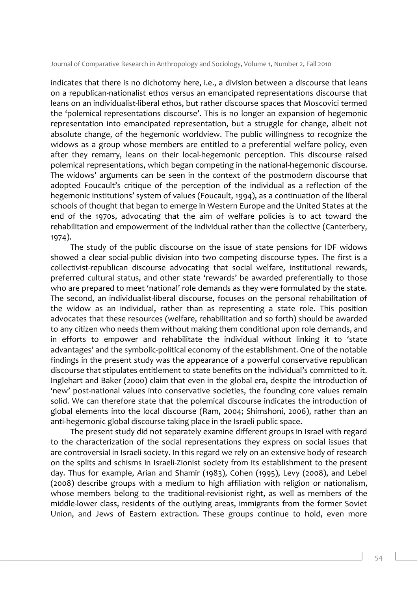indicates that there is no dichotomy here, i.e., a division between a discourse that leans on a republican-nationalist ethos versus an emancipated representations discourse that leans on an individualist-liberal ethos, but rather discourse spaces that Moscovici termed the 'polemical representations discourse'. This is no longer an expansion of hegemonic representation into emancipated representation, but a struggle for change, albeit not absolute change, of the hegemonic worldview. The public willingness to recognize the widows as a group whose members are entitled to a preferential welfare policy, even after they remarry, leans on their local-hegemonic perception. This discourse raised polemical representations, which began competing in the national-hegemonic discourse. The widows' arguments can be seen in the context of the postmodern discourse that adopted Foucault's critique of the perception of the individual as a reflection of the hegemonic institutions' system of values (Foucault, 1994), as a continuation of the liberal schools of thought that began to emerge in Western Europe and the United States at the end of the 1970s, advocating that the aim of welfare policies is to act toward the rehabilitation and empowerment of the individual rather than the collective (Canterbery, 1974).

The study of the public discourse on the issue of state pensions for IDF widows showed a clear social-public division into two competing discourse types. The first is a collectivist-republican discourse advocating that social welfare, institutional rewards, preferred cultural status, and other state 'rewards' be awarded preferentially to those who are prepared to meet 'national' role demands as they were formulated by the state. The second, an individualist-liberal discourse, focuses on the personal rehabilitation of the widow as an individual, rather than as representing a state role. This position advocates that these resources (welfare, rehabilitation and so forth) should be awarded to any citizen who needs them without making them conditional upon role demands, and in efforts to empower and rehabilitate the individual without linking it to 'state advantages' and the symbolic-political economy of the establishment. One of the notable findings in the present study was the appearance of a powerful conservative republican discourse that stipulates entitlement to state benefits on the individual's committed to it. Inglehart and Baker (2000) claim that even in the global era, despite the introduction of 'new' post-national values into conservative societies, the founding core values remain solid. We can therefore state that the polemical discourse indicates the introduction of global elements into the local discourse (Ram, 2004; Shimshoni, 2006), rather than an anti-hegemonic global discourse taking place in the Israeli public space.

The present study did not separately examine different groups in Israel with regard to the characterization of the social representations they express on social issues that are controversial in Israeli society. In this regard we rely on an extensive body of research on the splits and schisms in Israeli-Zionist society from its establishment to the present day. Thus for example, Arian and Shamir (1983), Cohen (1995), Levy (2008), and Lebel (2008) describe groups with a medium to high affiliation with religion or nationalism, whose members belong to the traditional-revisionist right, as well as members of the middle-lower class, residents of the outlying areas, immigrants from the former Soviet Union, and Jews of Eastern extraction. These groups continue to hold, even more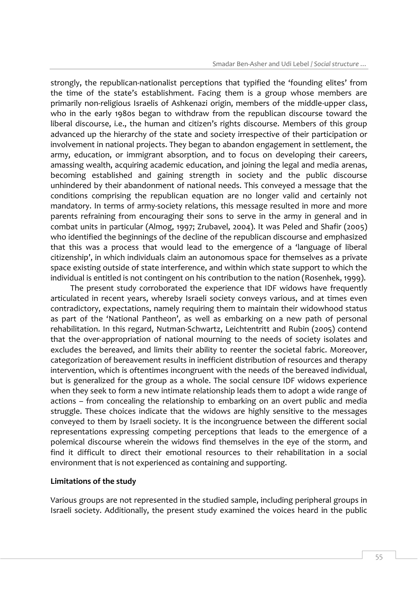strongly, the republican-nationalist perceptions that typified the 'founding elites' from the time of the state's establishment. Facing them is a group whose members are primarily non-religious Israelis of Ashkenazi origin, members of the middle-upper class, who in the early 1980s began to withdraw from the republican discourse toward the liberal discourse, i.e., the human and citizen's rights discourse. Members of this group advanced up the hierarchy of the state and society irrespective of their participation or involvement in national projects. They began to abandon engagement in settlement, the army, education, or immigrant absorption, and to focus on developing their careers, amassing wealth, acquiring academic education, and joining the legal and media arenas, becoming established and gaining strength in society and the public discourse unhindered by their abandonment of national needs. This conveyed a message that the conditions comprising the republican equation are no longer valid and certainly not mandatory. In terms of army-society relations, this message resulted in more and more parents refraining from encouraging their sons to serve in the army in general and in combat units in particular (Almog, 1997; Zrubavel, 2004). It was Peled and Shafir (2005) who identified the beginnings of the decline of the republican discourse and emphasized that this was a process that would lead to the emergence of a 'language of liberal citizenship', in which individuals claim an autonomous space for themselves as a private space existing outside of state interference, and within which state support to which the individual is entitled is not contingent on his contribution to the nation (Rosenhek, 1999).

The present study corroborated the experience that IDF widows have frequently articulated in recent years, whereby Israeli society conveys various, and at times even contradictory, expectations, namely requiring them to maintain their widowhood status as part of the 'National Pantheon', as well as embarking on a new path of personal rehabilitation. In this regard, Nutman-Schwartz, Leichtentritt and Rubin (2005) contend that the over-appropriation of national mourning to the needs of society isolates and excludes the bereaved, and limits their ability to reenter the societal fabric. Moreover, categorization of bereavement results in inefficient distribution of resources and therapy intervention, which is oftentimes incongruent with the needs of the bereaved individual, but is generalized for the group as a whole. The social censure IDF widows experience when they seek to form a new intimate relationship leads them to adopt a wide range of actions – from concealing the relationship to embarking on an overt public and media struggle. These choices indicate that the widows are highly sensitive to the messages conveyed to them by Israeli society. It is the incongruence between the different social representations expressing competing perceptions that leads to the emergence of a polemical discourse wherein the widows find themselves in the eye of the storm, and find it difficult to direct their emotional resources to their rehabilitation in a social environment that is not experienced as containing and supporting.

## **Limitations of the study**

Various groups are not represented in the studied sample, including peripheral groups in Israeli society. Additionally, the present study examined the voices heard in the public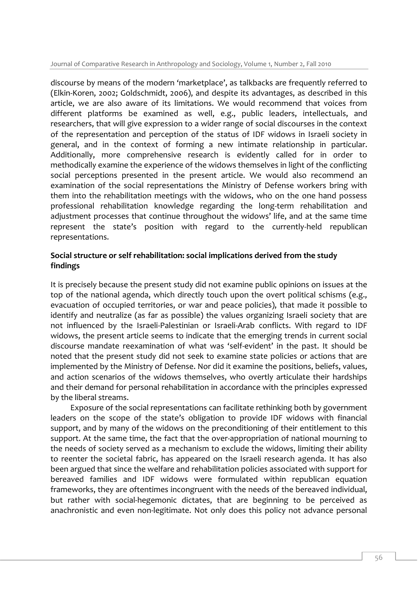Journal of Comparative Research in Anthropology and Sociology, Volume 1, Number 2, Fall 2010

discourse by means of the modern 'marketplace', as talkbacks are frequently referred to (Elkin-Koren, 2002; Goldschmidt, 2006), and despite its advantages, as described in this article, we are also aware of its limitations. We would recommend that voices from different platforms be examined as well, e.g., public leaders, intellectuals, and researchers, that will give expression to a wider range of social discourses in the context of the representation and perception of the status of IDF widows in Israeli society in general, and in the context of forming a new intimate relationship in particular. Additionally, more comprehensive research is evidently called for in order to methodically examine the experience of the widows themselves in light of the conflicting social perceptions presented in the present article. We would also recommend an examination of the social representations the Ministry of Defense workers bring with them into the rehabilitation meetings with the widows, who on the one hand possess professional rehabilitation knowledge regarding the long-term rehabilitation and adjustment processes that continue throughout the widows' life, and at the same time represent the state's position with regard to the currently-held republican representations.

# **Social structure or self rehabilitation: social implications derived from the study findings**

It is precisely because the present study did not examine public opinions on issues at the top of the national agenda, which directly touch upon the overt political schisms (e.g., evacuation of occupied territories, or war and peace policies), that made it possible to identify and neutralize (as far as possible) the values organizing Israeli society that are not influenced by the Israeli-Palestinian or Israeli-Arab conflicts. With regard to IDF widows, the present article seems to indicate that the emerging trends in current social discourse mandate reexamination of what was 'self-evident' in the past. It should be noted that the present study did not seek to examine state policies or actions that are implemented by the Ministry of Defense. Nor did it examine the positions, beliefs, values, and action scenarios of the widows themselves, who overtly articulate their hardships and their demand for personal rehabilitation in accordance with the principles expressed by the liberal streams.

Exposure of the social representations can facilitate rethinking both by government leaders on the scope of the state's obligation to provide IDF widows with financial support, and by many of the widows on the preconditioning of their entitlement to this support. At the same time, the fact that the over-appropriation of national mourning to the needs of society served as a mechanism to exclude the widows, limiting their ability to reenter the societal fabric, has appeared on the Israeli research agenda. It has also been argued that since the welfare and rehabilitation policies associated with support for bereaved families and IDF widows were formulated within republican equation frameworks, they are oftentimes incongruent with the needs of the bereaved individual, but rather with social-hegemonic dictates, that are beginning to be perceived as anachronistic and even non-legitimate. Not only does this policy not advance personal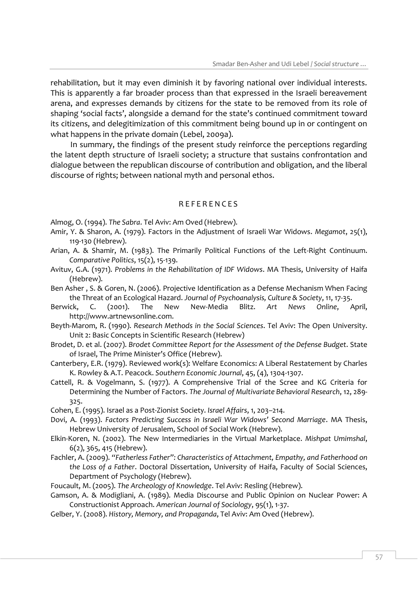rehabilitation, but it may even diminish it by favoring national over individual interests. This is apparently a far broader process than that expressed in the Israeli bereavement arena, and expresses demands by citizens for the state to be removed from its role of shaping 'social facts', alongside a demand for the state's continued commitment toward its citizens, and delegitimization of this commitment being bound up in or contingent on what happens in the private domain (Lebel, 2009a).

In summary, the findings of the present study reinforce the perceptions regarding the latent depth structure of Israeli society; a structure that sustains confrontation and dialogue between the republican discourse of contribution and obligation, and the liberal discourse of rights; between national myth and personal ethos.

# R E F E R E N C E S

Almog, O. (1994). *The Sabra*. Tel Aviv: Am Oved (Hebrew).

- Amir, Y. & Sharon, A. (1979). Factors in the Adjustment of Israeli War Widows. *Megamot*, 25(1), 119-130 (Hebrew).
- Arian, A. & Shamir, M. (1983). The Primarily Political Functions of the Left-Right Continuum. *Comparative Politics*, 15(2), 15-139.
- Avituv, G.A. (1971). *Problems in the Rehabilitation of IDF Widows*. MA Thesis, University of Haifa (Hebrew).
- Ben Asher , S. & Goren, N. (2006). Projective Identification as a Defense Mechanism When Facing the Threat of an Ecological Hazard. *Journal of Psychoanalysis, Culture & Society*, 11, 17-35.
- Berwick, C. (2001). The New New-Media Blitz. *Art News Online*, April, http://www.artnewsonline.com.
- Beyth-Marom, R. (1990). *Research Methods in the Social Sciences*. Tel Aviv: The Open University. Unit 2: Basic Concepts in Scientific Research (Hebrew)
- Brodet, D. et al. (2007). *Brodet Committee Report for the Assessment of the Defense Budget*. State of Israel, The Prime Minister's Office (Hebrew).
- Canterbery, E.R. (1979). Reviewed work(s): Welfare Economics: A Liberal Restatement by Charles K. Rowley & A.T. Peacock. *Southern Economic Journal*, 45, (4), 1304-1307.
- Cattell, R. & Vogelmann, S. (1977). A Comprehensive Trial of the Scree and KG Criteria for Determining the Number of Factors. *The Journal of Multivariate Behavioral Research*, 12, 289- 325.

Cohen, E. (1995). Israel as a Post-Zionist Society. *[Israel Affairs](http://www.informaworld.com/smpp/title~content=t713677360~db=all)*, [1,](http://www.informaworld.com/smpp/title~content=t713677360~db=all~tab=issueslist~branches=1#v1) 203–214.

- Dovi, A. (1993). *Factors Predicting Success in Israeli War Widows' Second Marriage*. MA Thesis, Hebrew University of Jerusalem, School of Social Work (Hebrew).
- Elkin-Koren, N. (2002). The New Intermediaries in the Virtual Marketplace. *Mishpat Umimshal*, 6(2), 365, 415 (Hebrew).
- Fachler, A. (2009). *"Fatherless Father": Characteristics of Attachment, Empathy, and Fatherhood on the Loss of a Father*. Doctoral Dissertation, University of Haifa, Faculty of Social Sciences, Department of Psychology (Hebrew).
- Foucault, M. (2005). *The Archeology of Knowledge*. Tel Aviv: Resling (Hebrew).
- Gamson, A. & Modigliani, A. (1989). Media Discourse and Public Opinion on Nuclear Power: A Constructionist Approach. *American Journal of Sociology*, 95(1), 1-37.
- Gelber, Y. (2008). *History, Memory, and Propaganda*, Tel Aviv: Am Oved (Hebrew).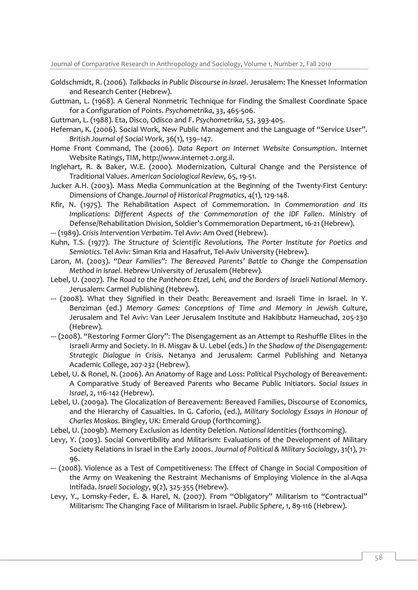Journal of Comparative Research in Anthropology and Sociology, Volume 1, Number 2, Fall 2010

- Goldschmidt, R. (2006). *Talkbacks in Public Discourse in Israel*. Jerusalem: The Knesset Information and Research Center (Hebrew).
- Guttman, L. (1968). A General Nonmetric Technique for Finding the Smallest Coordinate Space for a Configuration of Points. *Psychometrika*, 33, 465-506.
- Guttman, L. (1988). Eta, Disco, Odisco and F. *Psychometrika*, 53, 393-405.
- Hefernan, K. (2006). Social Work, New Public Management and the Language of "Service User". *British Journal of Social Work*, 36(1), 139–147.
- Home Front Command, The (2006). *Data Report on Internet Website Consumption*. Internet Website Ratings, TIM, http://www.internet-2.org.il.
- Inglehart, R. & Baker, W.E. (2000). Modernization, Cultural Change and the Persistence of Traditional Values. *American Sociological Review,* 65, 19-51.
- Jucker A.H. (2003). Mass Media Communication at the Beginning of the Twenty-First Century: Dimensions of Change. *Journal of Historical Pragmatics*, 4(1), 129-148.
- Kfir, N. (1975). The Rehabilitation Aspect of Commemoration. In *Commemoration and Its Implications: Different Aspects of the Commemoration of the IDF Fallen*. Ministry of Defense/Rehabilitation Division, Soldier's Commemoration Department, 16-21 (Hebrew).
- --- (1989). *Crisis Intervention Verbatim*. Tel Aviv: Am Oved (Hebrew).
- Kuhn, T.S. (1977). *The Structure of Scientific Revolutions, The Porter Institute for Poetics and Semiotics*. Tel Aviv: Siman Kria and Hasafrut, Tel-Aviv University (Hebrew).
- Laron, M. (2003). *"Dear Families": The Bereaved Parents' Battle to Change the Compensation Method in Israel*. Hebrew University of Jerusalem (Hebrew).
- Lebel, U. (2007). *The Road to the Pantheon: Etzel, Lehi, and the Borders of Israeli National Memory*. Jerusalem: Carmel Publishing (Hebrew).
- --- (2008). What they Signified in their Death: Bereavement and Israeli Time in Israel. In Y. Benziman (ed.) *Memory Games: Conceptions of Time and Memory in Jewish Culture*, Jerusalem and Tel Aviv: Van Leer Jerusalem Institute and Hakibbutz Hameuchad, 205-230 (Hebrew).
- --- (2008). "Restoring Former Glory": The Disengagement as an Attempt to Reshuffle Elites in the Israeli Army and Society. In H. Misgav & U. Lebel (eds.) *In the Shadow of the Disengagement: Strategic Dialogue in Crisis*. Netanya and Jerusalem: Carmel Publishing and Netanya Academic College, 207-232 (Hebrew).
- Lebel, U. & Ronel, N. (2006). An Anatomy of Rage and Loss: Political Psychology of Bereavement: A Comparative Study of Bereaved Parents who Became Public Initiators. *Social Issues in Israel*, 2, 116-142 (Hebrew).
- Lebel, U. (2009a). The Glocalization of Bereavement: Bereaved Families, Discourse of Economics, and the Hierarchy of Casualties. In G. Caforio, (ed.), *Military Sociology Essays in Honour of Charles Moskos*. Bingley, UK: Emerald Group (forthcoming).
- Lebel, U. (2009b). Memory Exclusion as Identity Deletion. *National Identities* (forthcoming).
- Levy, Y. (2003). Social Convertibility and Militarism: Evaluations of the Development of Military Society Relations in Israel in the Early 2000s. *Journal of Political & Military Sociology*, 31(1), 71- 96.
- --- (2008). Violence as a Test of Competitiveness: The Effect of Change in Social Composition of the Army on Weakening the Restraint Mechanisms of Employing Violence in the al-Aqsa Intifada. *Israeli Sociology*, 9(2), 325-355 (Hebrew).
- Levy, Y., Lomsky-Feder, E. & Harel, N. (2007). From "Obligatory" Militarism to "Contractual" Militarism: The Changing Face of Militarism in Israel. *Public Sphere*, 1, 89-116 (Hebrew).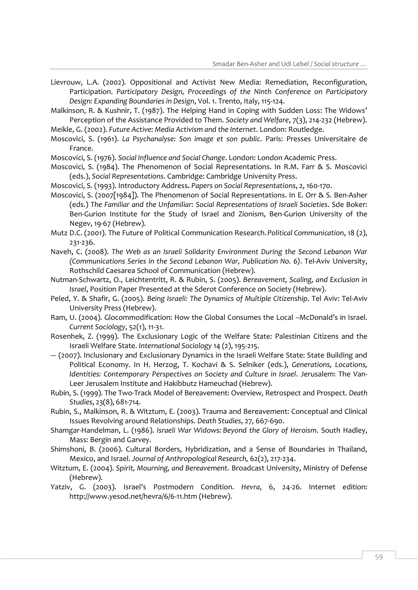- Lievrouw, L.A. (2002). Oppositional and Activist New Media: Remediation, Reconfiguration, Participation. *Participatory Design, Proceedings of the Ninth Conference on Participatory Design: Expanding Boundaries in Design*, Vol. 1. Trento, Italy, 115-124.
- Malkinson, R. & Kushnir, T. (1987). The Helping Hand in Coping with Sudden Loss: The Widows' Perception of the Assistance Provided to Them. *Society and Welfare*, 7(3), 214-232 (Hebrew).

Meikle, G. (2002). *Future Active: Media Activism and the Internet*. London: Routledge.

- Moscovici, S. (1961). *La Psychanalyse: Son image et son public*. Paris: Presses Universitaire de France.
- Moscovici, S. (1976). *Social Influence and Social Change*. London: London Academic Press.
- Moscovici, S. (1984). The Phenomenon of Social Representations. In R.M. Farr & S. Moscovici (eds.), *Social Representations*. Cambridge: Cambridge University Press.
- Moscovici, S. (1993). Introductory Address*. Papers on Social Representations*, 2, 160-170.
- Moscovici, S. (2007[1984]). The Phenomenon of Social Representations. In E. Orr & S. Ben-Asher (eds.) *The Familiar and the Unfamiliar: Social Representations of Israeli Societies*. Sde Boker: Ben-Gurion Institute for the Study of Israel and Zionism, Ben-Gurion University of the Negev, 19-67 (Hebrew).
- Mutz D.C. (2001). The Future of Political Communication Research. *Political Communication*, 18 (2), 231-236.
- Naveh, C. (2008). *The Web as an Israeli Solidarity Environment During the Second Lebanon War (Communications Series in the Second Lebanon War, Publication No. 6)*. Tel-Aviv University, Rothschild Caesarea School of Communication (Hebrew).
- Nutman-Schwartz, O., Leichtentritt, R. & Rubin, S. (2005). *Bereavement, Scaling, and Exclusion in Israel*, Position Paper Presented at the Sderot Conference on Society (Hebrew).
- Peled, Y. & Shafir, G. (2005). *Being Israeli: The Dynamics of Multiple Citizenship*. Tel Aviv: Tel-Aviv University Press (Hebrew).
- Ram, U. (2004). Glocommodification: How the Global Consumes the Local –McDonald's in Israel. *Current Sociology*, 52(1), 11-31.
- Rosenhek, Z. (1999). The Exclusionary Logic of the Welfare State: Palestinian Citizens and the Israeli Welfare State. *International Sociology* 14 (2), 195-215.
- --- (2007). Inclusionary and Exclusionary Dynamics in the Israeli Welfare State: State Building and Political Economy. In H. Herzog, T. Kochavi & S. Selniker (eds.), *Generations, Locations, Identities: Contemporary Perspectives on Society and Culture in Israel. Jerusalem: The Van-*Leer Jerusalem Institute and Hakibbutz Hameuchad (Hebrew).
- Rubin, S. (1999). The Two-Track Model of Bereavement: Overview, Retrospect and Prospect. *Death Studies*, 23(8), 681-714.
- Rubin, S., Malkinson, R. & Witztum, E. (2003). Trauma and Bereavement: Conceptual and Clinical Issues Revolving around Relationships. *Death Studies*, 27, 667-690.
- Shamgar-Handelman, L. (1986). *Israeli War Widows: Beyond the Glory of Heroism*. South Hadley, Mass: Bergin and Garvey.
- Shimshoni, B. (2006). Cultural Borders, Hybridization, and a Sense of Boundaries in Thailand, Mexico, and Israel. *Journal of Anthropological Research,* 62(2), 217-234.
- Witztum, E. (2004). *Spirit, Mourning, and Bereavement*. Broadcast University, Ministry of Defense (Hebrew).
- Yatziv, G. (2003). Israel's Postmodern Condition. *Hevra*, 6, 24-26. Internet edition: http://www.yesod.net/hevra/6/6-11.htm (Hebrew).